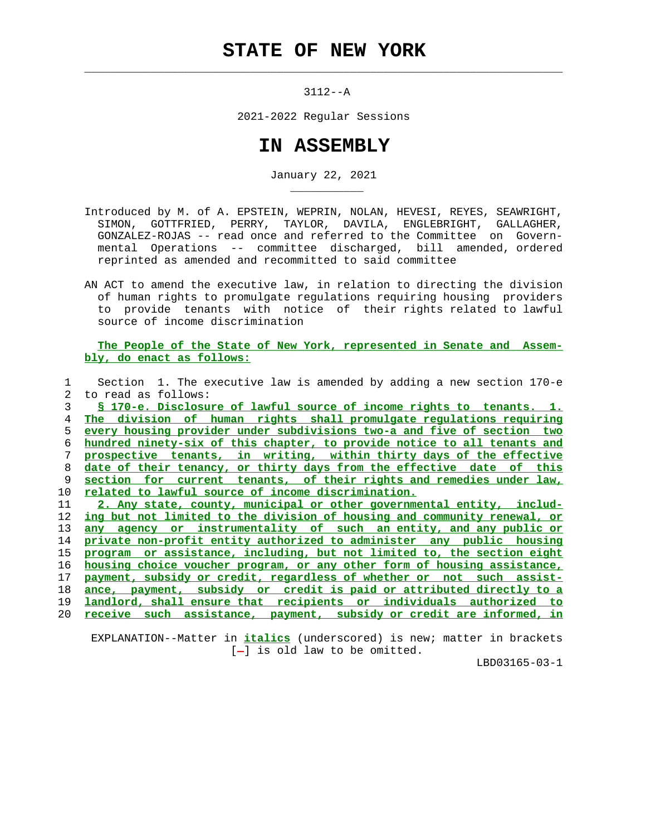$\mathcal{L}_\text{max} = \frac{1}{2} \sum_{i=1}^{n} \frac{1}{2} \sum_{i=1}^{n} \frac{1}{2} \sum_{i=1}^{n} \frac{1}{2} \sum_{i=1}^{n} \frac{1}{2} \sum_{i=1}^{n} \frac{1}{2} \sum_{i=1}^{n} \frac{1}{2} \sum_{i=1}^{n} \frac{1}{2} \sum_{i=1}^{n} \frac{1}{2} \sum_{i=1}^{n} \frac{1}{2} \sum_{i=1}^{n} \frac{1}{2} \sum_{i=1}^{n} \frac{1}{2} \sum_{i=1}^{n} \frac{1$ 

\_\_\_\_\_\_\_\_\_\_\_

3112--A

2021-2022 Regular Sessions

## **IN ASSEMBLY**

January 22, 2021

 Introduced by M. of A. EPSTEIN, WEPRIN, NOLAN, HEVESI, REYES, SEAWRIGHT, SIMON, GOTTFRIED, PERRY, TAYLOR, DAVILA, ENGLEBRIGHT, GALLAGHER, GONZALEZ-ROJAS -- read once and referred to the Committee on Govern mental Operations -- committee discharged, bill amended, ordered reprinted as amended and recommitted to said committee

 AN ACT to amend the executive law, in relation to directing the division of human rights to promulgate regulations requiring housing providers to provide tenants with notice of their rights related to lawful source of income discrimination

 **The People of the State of New York, represented in Senate and Assem bly, do enact as follows:**

|    | Section 1. The executive law is amended by adding a new section 170-e      |
|----|----------------------------------------------------------------------------|
| 2. | to read as follows:                                                        |
| 3  | § 170-e. Disclosure of lawful source of income rights to tenants. 1.       |
| 4  | The division of human rights shall promulgate regulations requiring        |
| 5  | every housing provider under subdivisions two-a and five of section two    |
| 6  | hundred ninety-six of this chapter, to provide notice to all tenants and   |
| 7  | prospective tenants, in writing, within thirty days of the effective       |
| 8  | date of their tenancy, or thirty days from the effective date of this      |
| 9  | section for current tenants, of their rights and remedies under law,       |
| 10 | related to lawful source of income discrimination.                         |
| 11 | 2. Any state, county, municipal or other governmental entity, includ-      |
| 12 | ing but not limited to the division of housing and community renewal, or   |
| 13 | any agency or instrumentality of such an entity, and any public or         |
| 14 | private non-profit entity authorized to administer any public housing      |
| 15 | or assistance, including, but not limited to, the section eight<br>program |
| 16 | housing choice voucher program, or any other form of housing assistance,   |
| 17 | payment, subsidy or credit, regardless of whether or not such assist-      |
| 18 | ance, payment, subsidy or credit is paid or attributed directly to a       |
| 19 | landlord, shall ensure that recipients or individuals authorized to        |
| 20 | receive such assistance, payment, subsidy or credit are informed, in       |
|    |                                                                            |

 EXPLANATION--Matter in **italics** (underscored) is new; matter in brackets  $[-]$  is old law to be omitted.

LBD03165-03-1